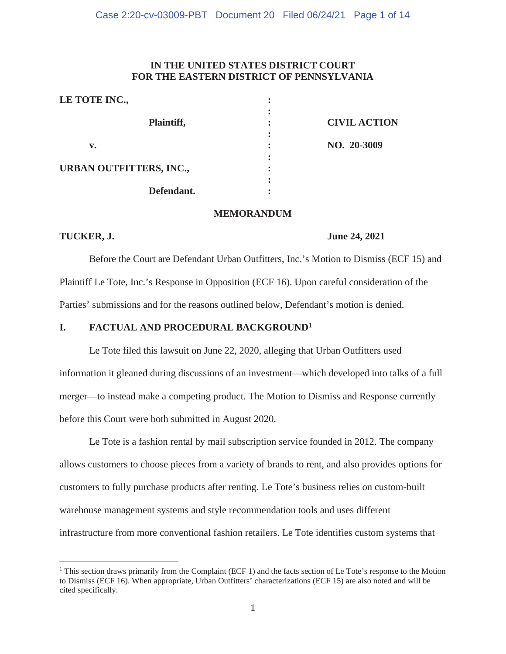## **IN THE UNITED STATES DISTRICT COURT FOR THE EASTERN DISTRICT OF PENNSYLVANIA**

| LE TOTE INC.,                  |                     |
|--------------------------------|---------------------|
| Plaintiff,                     | <b>CIVIL ACTION</b> |
| v.                             | NO. 20-3009         |
|                                |                     |
| <b>URBAN OUTFITTERS, INC.,</b> |                     |
| Defendant.                     |                     |

### **MEMORANDUM**

#### **TUCKER, J.** June 24, 2021

Before the Court are Defendant Urban Outfitters, Inc.'s Motion to Dismiss (ECF 15) and Plaintiff Le Tote, Inc.'s Response in Opposition (ECF 16). Upon careful consideration of the Parties' submissions and for the reasons outlined below, Defendant's motion is denied.

## **I. FACTUAL AND PROCEDURAL BACKGROUND1**

Le Tote filed this lawsuit on June 22, 2020, alleging that Urban Outfitters used information it gleaned during discussions of an investment—which developed into talks of a full merger—to instead make a competing product. The Motion to Dismiss and Response currently before this Court were both submitted in August 2020.

Le Tote is a fashion rental by mail subscription service founded in 2012. The company allows customers to choose pieces from a variety of brands to rent, and also provides options for customers to fully purchase products after renting. Le Tote's business relies on custom-built warehouse management systems and style recommendation tools and uses different infrastructure from more conventional fashion retailers. Le Tote identifies custom systems that

<sup>&</sup>lt;sup>1</sup> This section draws primarily from the Complaint (ECF 1) and the facts section of Le Tote's response to the Motion to Dismiss (ECF 16). When appropriate, Urban Outfitters' characterizations (ECF 15) are also noted and will be cited specifically.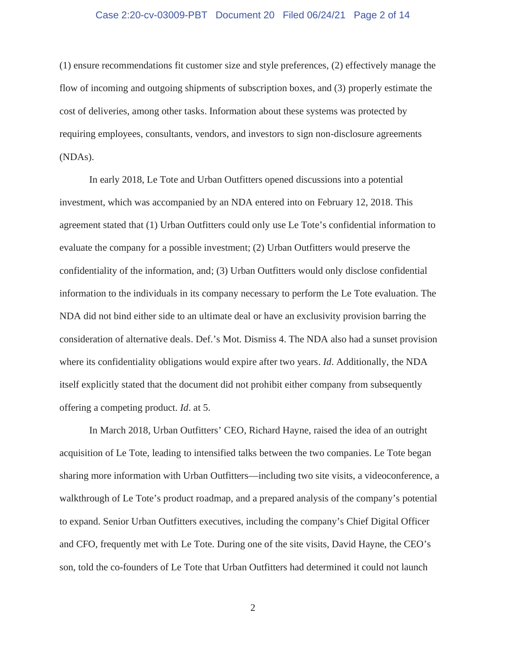#### Case 2:20-cv-03009-PBT Document 20 Filed 06/24/21 Page 2 of 14

(1) ensure recommendations fit customer size and style preferences, (2) effectively manage the flow of incoming and outgoing shipments of subscription boxes, and (3) properly estimate the cost of deliveries, among other tasks. Information about these systems was protected by requiring employees, consultants, vendors, and investors to sign non-disclosure agreements (NDAs).

In early 2018, Le Tote and Urban Outfitters opened discussions into a potential investment, which was accompanied by an NDA entered into on February 12, 2018. This agreement stated that (1) Urban Outfitters could only use Le Tote's confidential information to evaluate the company for a possible investment; (2) Urban Outfitters would preserve the confidentiality of the information, and; (3) Urban Outfitters would only disclose confidential information to the individuals in its company necessary to perform the Le Tote evaluation. The NDA did not bind either side to an ultimate deal or have an exclusivity provision barring the consideration of alternative deals. Def.'s Mot. Dismiss 4. The NDA also had a sunset provision where its confidentiality obligations would expire after two years. *Id*. Additionally, the NDA itself explicitly stated that the document did not prohibit either company from subsequently offering a competing product. *Id*. at 5.

In March 2018, Urban Outfitters' CEO, Richard Hayne, raised the idea of an outright acquisition of Le Tote, leading to intensified talks between the two companies. Le Tote began sharing more information with Urban Outfitters—including two site visits, a videoconference, a walkthrough of Le Tote's product roadmap, and a prepared analysis of the company's potential to expand. Senior Urban Outfitters executives, including the company's Chief Digital Officer and CFO, frequently met with Le Tote. During one of the site visits, David Hayne, the CEO's son, told the co-founders of Le Tote that Urban Outfitters had determined it could not launch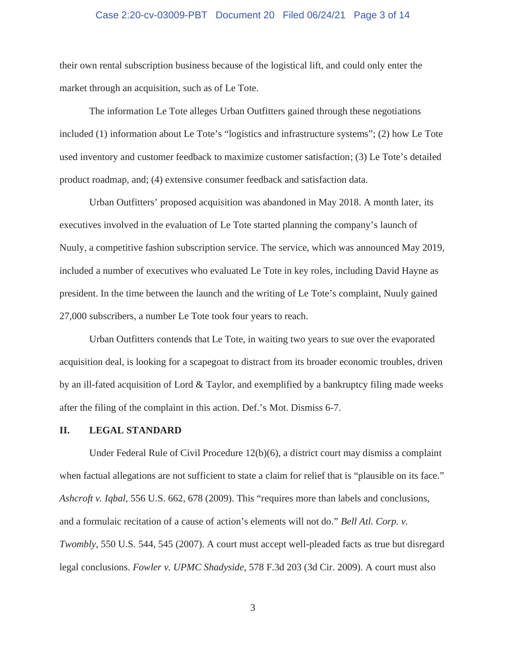#### Case 2:20-cv-03009-PBT Document 20 Filed 06/24/21 Page 3 of 14

their own rental subscription business because of the logistical lift, and could only enter the market through an acquisition, such as of Le Tote.

The information Le Tote alleges Urban Outfitters gained through these negotiations included (1) information about Le Tote's "logistics and infrastructure systems"; (2) how Le Tote used inventory and customer feedback to maximize customer satisfaction; (3) Le Tote's detailed product roadmap, and; (4) extensive consumer feedback and satisfaction data.

Urban Outfitters' proposed acquisition was abandoned in May 2018. A month later, its executives involved in the evaluation of Le Tote started planning the company's launch of Nuuly, a competitive fashion subscription service. The service, which was announced May 2019, included a number of executives who evaluated Le Tote in key roles, including David Hayne as president. In the time between the launch and the writing of Le Tote's complaint, Nuuly gained 27,000 subscribers, a number Le Tote took four years to reach.

Urban Outfitters contends that Le Tote, in waiting two years to sue over the evaporated acquisition deal, is looking for a scapegoat to distract from its broader economic troubles, driven by an ill-fated acquisition of Lord & Taylor, and exemplified by a bankruptcy filing made weeks after the filing of the complaint in this action. Def.'s Mot. Dismiss 6-7.

#### **II. LEGAL STANDARD**

Under Federal Rule of Civil Procedure 12(b)(6), a district court may dismiss a complaint when factual allegations are not sufficient to state a claim for relief that is "plausible on its face." *Ashcroft v. Iqbal*, 556 U.S. 662, 678 (2009). This "requires more than labels and conclusions, and a formulaic recitation of a cause of action's elements will not do." *Bell Atl. Corp. v. Twombly*, 550 U.S. 544, 545 (2007). A court must accept well-pleaded facts as true but disregard legal conclusions. *Fowler v. UPMC Shadyside*, 578 F.3d 203 (3d Cir. 2009). A court must also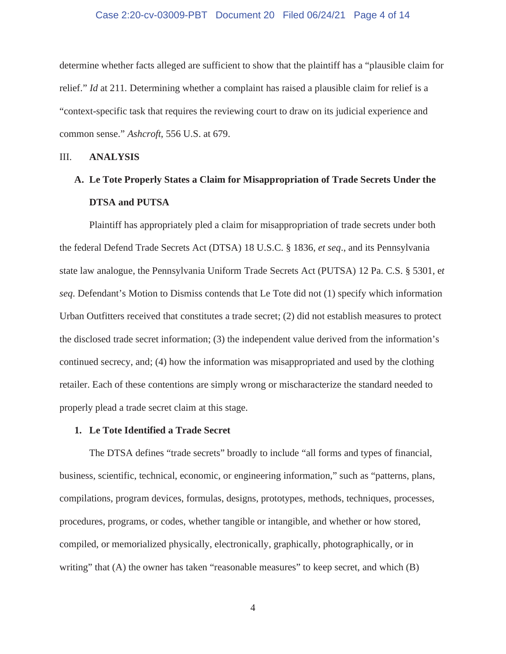#### Case 2:20-cv-03009-PBT Document 20 Filed 06/24/21 Page 4 of 14

determine whether facts alleged are sufficient to show that the plaintiff has a "plausible claim for relief." *Id* at 211*.* Determining whether a complaint has raised a plausible claim for relief is a "context-specific task that requires the reviewing court to draw on its judicial experience and common sense." *Ashcroft*, 556 U.S. at 679.

#### III. **ANALYSIS**

# **A. Le Tote Properly States a Claim for Misappropriation of Trade Secrets Under the DTSA and PUTSA**

Plaintiff has appropriately pled a claim for misappropriation of trade secrets under both the federal Defend Trade Secrets Act (DTSA) 18 U.S.C. § 1836, *et seq*., and its Pennsylvania state law analogue, the Pennsylvania Uniform Trade Secrets Act (PUTSA) 12 Pa. C.S. § 5301, e*t seq*. Defendant's Motion to Dismiss contends that Le Tote did not (1) specify which information Urban Outfitters received that constitutes a trade secret; (2) did not establish measures to protect the disclosed trade secret information; (3) the independent value derived from the information's continued secrecy, and; (4) how the information was misappropriated and used by the clothing retailer. Each of these contentions are simply wrong or mischaracterize the standard needed to properly plead a trade secret claim at this stage.

#### **1. Le Tote Identified a Trade Secret**

The DTSA defines "trade secrets" broadly to include "all forms and types of financial, business, scientific, technical, economic, or engineering information," such as "patterns, plans, compilations, program devices, formulas, designs, prototypes, methods, techniques, processes, procedures, programs, or codes, whether tangible or intangible, and whether or how stored, compiled, or memorialized physically, electronically, graphically, photographically, or in writing" that (A) the owner has taken "reasonable measures" to keep secret, and which (B)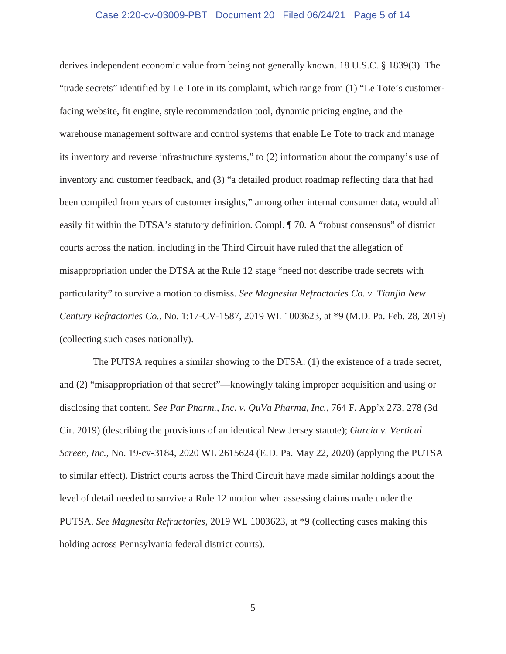#### Case 2:20-cv-03009-PBT Document 20 Filed 06/24/21 Page 5 of 14

derives independent economic value from being not generally known. 18 U.S.C. § 1839(3). The "trade secrets" identified by Le Tote in its complaint, which range from (1) "Le Tote's customerfacing website, fit engine, style recommendation tool, dynamic pricing engine, and the warehouse management software and control systems that enable Le Tote to track and manage its inventory and reverse infrastructure systems," to (2) information about the company's use of inventory and customer feedback, and (3) "a detailed product roadmap reflecting data that had been compiled from years of customer insights," among other internal consumer data, would all easily fit within the DTSA's statutory definition. Compl. ¶ 70. A "robust consensus" of district courts across the nation, including in the Third Circuit have ruled that the allegation of misappropriation under the DTSA at the Rule 12 stage "need not describe trade secrets with particularity" to survive a motion to dismiss. *See Magnesita Refractories Co. v. Tianjin New Century Refractories Co.*, No. 1:17-CV-1587, 2019 WL 1003623, at \*9 (M.D. Pa. Feb. 28, 2019) (collecting such cases nationally).

The PUTSA requires a similar showing to the DTSA: (1) the existence of a trade secret, and (2) "misappropriation of that secret"—knowingly taking improper acquisition and using or disclosing that content. *See Par Pharm., Inc. v. QuVa Pharma, Inc.*, 764 F. App'x 273, 278 (3d Cir. 2019) (describing the provisions of an identical New Jersey statute); *Garcia v. Vertical Screen, Inc.,* No. 19-cv-3184, 2020 WL 2615624 (E.D. Pa. May 22, 2020) (applying the PUTSA to similar effect). District courts across the Third Circuit have made similar holdings about the level of detail needed to survive a Rule 12 motion when assessing claims made under the PUTSA. *See Magnesita Refractories*, 2019 WL 1003623, at \*9 (collecting cases making this holding across Pennsylvania federal district courts).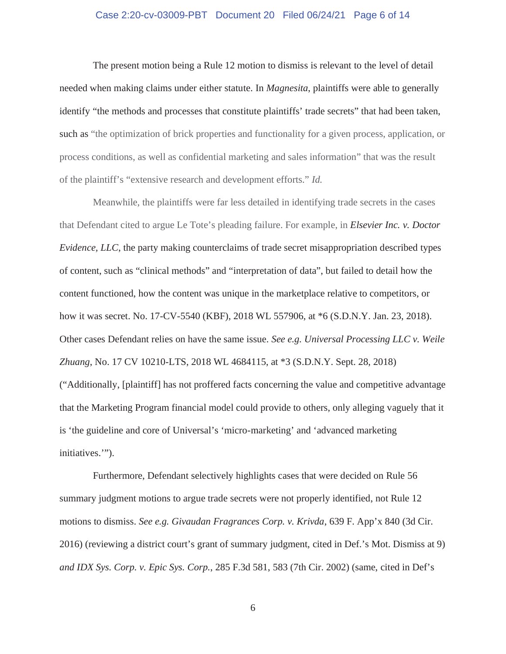#### Case 2:20-cv-03009-PBT Document 20 Filed 06/24/21 Page 6 of 14

The present motion being a Rule 12 motion to dismiss is relevant to the level of detail needed when making claims under either statute. In *Magnesita*, plaintiffs were able to generally identify "the methods and processes that constitute plaintiffs' trade secrets" that had been taken, such as "the optimization of brick properties and functionality for a given process, application, or process conditions, as well as confidential marketing and sales information" that was the result of the plaintiff's "extensive research and development efforts." *Id.*

Meanwhile, the plaintiffs were far less detailed in identifying trade secrets in the cases that Defendant cited to argue Le Tote's pleading failure. For example, in *Elsevier Inc. v. Doctor Evidence, LLC*, the party making counterclaims of trade secret misappropriation described types of content, such as "clinical methods" and "interpretation of data", but failed to detail how the content functioned, how the content was unique in the marketplace relative to competitors, or how it was secret. No. 17-CV-5540 (KBF), 2018 WL 557906, at \*6 (S.D.N.Y. Jan. 23, 2018). Other cases Defendant relies on have the same issue. *See e.g. Universal Processing LLC v. Weile Zhuang*, No. 17 CV 10210-LTS, 2018 WL 4684115, at \*3 (S.D.N.Y. Sept. 28, 2018) ("Additionally, [plaintiff] has not proffered facts concerning the value and competitive advantage that the Marketing Program financial model could provide to others, only alleging vaguely that it is 'the guideline and core of Universal's 'micro-marketing' and 'advanced marketing initiatives.'").

Furthermore, Defendant selectively highlights cases that were decided on Rule 56 summary judgment motions to argue trade secrets were not properly identified, not Rule 12 motions to dismiss. *See e.g. Givaudan Fragrances Corp. v. Krivda*, 639 F. App'x 840 (3d Cir. 2016) (reviewing a district court's grant of summary judgment, cited in Def.'s Mot. Dismiss at 9) *and IDX Sys. Corp. v. Epic Sys. Corp.*, 285 F.3d 581, 583 (7th Cir. 2002) (same, cited in Def's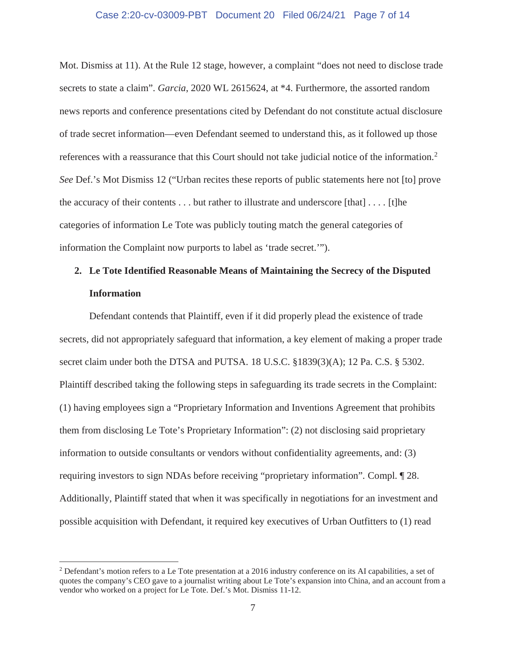#### Case 2:20-cv-03009-PBT Document 20 Filed 06/24/21 Page 7 of 14

Mot. Dismiss at 11). At the Rule 12 stage, however, a complaint "does not need to disclose trade secrets to state a claim". *Garcia*, 2020 WL 2615624, at \*4. Furthermore, the assorted random news reports and conference presentations cited by Defendant do not constitute actual disclosure of trade secret information—even Defendant seemed to understand this, as it followed up those references with a reassurance that this Court should not take judicial notice of the information.2 *See* Def.'s Mot Dismiss 12 ("Urban recites these reports of public statements here not [to] prove the accuracy of their contents  $\dots$  but rather to illustrate and underscore [that]  $\dots$  [t]he categories of information Le Tote was publicly touting match the general categories of information the Complaint now purports to label as 'trade secret.'").

# **2. Le Tote Identified Reasonable Means of Maintaining the Secrecy of the Disputed Information**

Defendant contends that Plaintiff, even if it did properly plead the existence of trade secrets, did not appropriately safeguard that information, a key element of making a proper trade secret claim under both the DTSA and PUTSA. 18 U.S.C. §1839(3)(A); 12 Pa. C.S. § 5302. Plaintiff described taking the following steps in safeguarding its trade secrets in the Complaint: (1) having employees sign a "Proprietary Information and Inventions Agreement that prohibits them from disclosing Le Tote's Proprietary Information": (2) not disclosing said proprietary information to outside consultants or vendors without confidentiality agreements, and: (3) requiring investors to sign NDAs before receiving "proprietary information". Compl. ¶ 28. Additionally, Plaintiff stated that when it was specifically in negotiations for an investment and possible acquisition with Defendant, it required key executives of Urban Outfitters to (1) read

<sup>2</sup> Defendant's motion refers to a Le Tote presentation at a 2016 industry conference on its AI capabilities, a set of quotes the company's CEO gave to a journalist writing about Le Tote's expansion into China, and an account from a vendor who worked on a project for Le Tote. Def.'s Mot. Dismiss 11-12.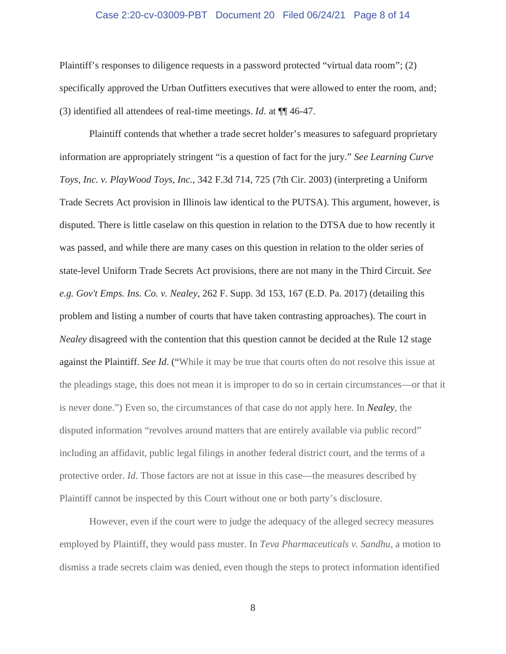#### Case 2:20-cv-03009-PBT Document 20 Filed 06/24/21 Page 8 of 14

Plaintiff's responses to diligence requests in a password protected "virtual data room"; (2) specifically approved the Urban Outfitters executives that were allowed to enter the room, and; (3) identified all attendees of real-time meetings. *Id*. at ¶¶ 46-47.

Plaintiff contends that whether a trade secret holder's measures to safeguard proprietary information are appropriately stringent "is a question of fact for the jury." *See Learning Curve Toys, Inc. v. PlayWood Toys, Inc.*, 342 F.3d 714, 725 (7th Cir. 2003) (interpreting a Uniform Trade Secrets Act provision in Illinois law identical to the PUTSA). This argument, however, is disputed. There is little caselaw on this question in relation to the DTSA due to how recently it was passed, and while there are many cases on this question in relation to the older series of state-level Uniform Trade Secrets Act provisions, there are not many in the Third Circuit. *See e.g. Gov't Emps. Ins. Co. v. Nealey*, 262 F. Supp. 3d 153, 167 (E.D. Pa. 2017) (detailing this problem and listing a number of courts that have taken contrasting approaches). The court in *Nealey* disagreed with the contention that this question cannot be decided at the Rule 12 stage against the Plaintiff. *See Id*. ("While it may be true that courts often do not resolve this issue at the pleadings stage, this does not mean it is improper to do so in certain circumstances—or that it is never done.") Even so, the circumstances of that case do not apply here. In *Nealey*, the disputed information "revolves around matters that are entirely available via public record" including an affidavit, public legal filings in another federal district court, and the terms of a protective order. *Id*. Those factors are not at issue in this case—the measures described by Plaintiff cannot be inspected by this Court without one or both party's disclosure.

However, even if the court were to judge the adequacy of the alleged secrecy measures employed by Plaintiff, they would pass muster. In *Teva Pharmaceuticals v. Sandhu*, a motion to dismiss a trade secrets claim was denied, even though the steps to protect information identified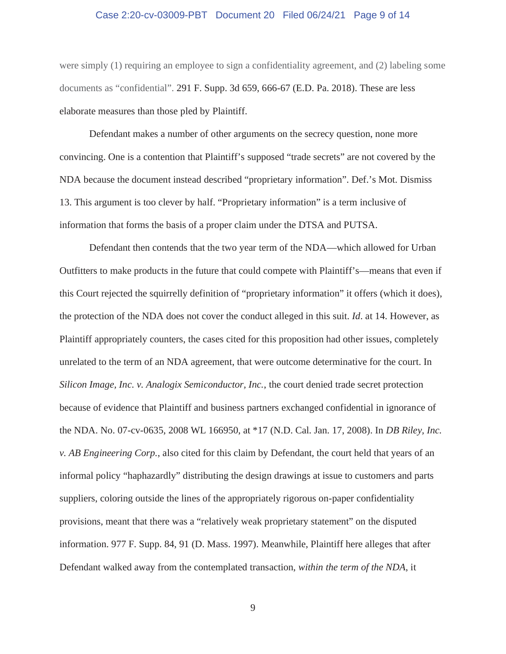#### Case 2:20-cv-03009-PBT Document 20 Filed 06/24/21 Page 9 of 14

were simply (1) requiring an employee to sign a confidentiality agreement, and (2) labeling some documents as "confidential". 291 F. Supp. 3d 659, 666-67 (E.D. Pa. 2018). These are less elaborate measures than those pled by Plaintiff.

Defendant makes a number of other arguments on the secrecy question, none more convincing. One is a contention that Plaintiff's supposed "trade secrets" are not covered by the NDA because the document instead described "proprietary information". Def.'s Mot. Dismiss 13. This argument is too clever by half. "Proprietary information" is a term inclusive of information that forms the basis of a proper claim under the DTSA and PUTSA.

Defendant then contends that the two year term of the NDA—which allowed for Urban Outfitters to make products in the future that could compete with Plaintiff's—means that even if this Court rejected the squirrelly definition of "proprietary information" it offers (which it does), the protection of the NDA does not cover the conduct alleged in this suit. *Id*. at 14. However, as Plaintiff appropriately counters, the cases cited for this proposition had other issues, completely unrelated to the term of an NDA agreement, that were outcome determinative for the court. In *Silicon Image, Inc. v. Analogix Semiconductor, Inc.*, the court denied trade secret protection because of evidence that Plaintiff and business partners exchanged confidential in ignorance of the NDA. No. 07-cv-0635, 2008 WL 166950, at \*17 (N.D. Cal. Jan. 17, 2008). In *DB Riley, Inc. v. AB Engineering Corp.*, also cited for this claim by Defendant, the court held that years of an informal policy "haphazardly" distributing the design drawings at issue to customers and parts suppliers, coloring outside the lines of the appropriately rigorous on-paper confidentiality provisions, meant that there was a "relatively weak proprietary statement" on the disputed information. 977 F. Supp. 84, 91 (D. Mass. 1997). Meanwhile, Plaintiff here alleges that after Defendant walked away from the contemplated transaction, *within the term of the NDA*, it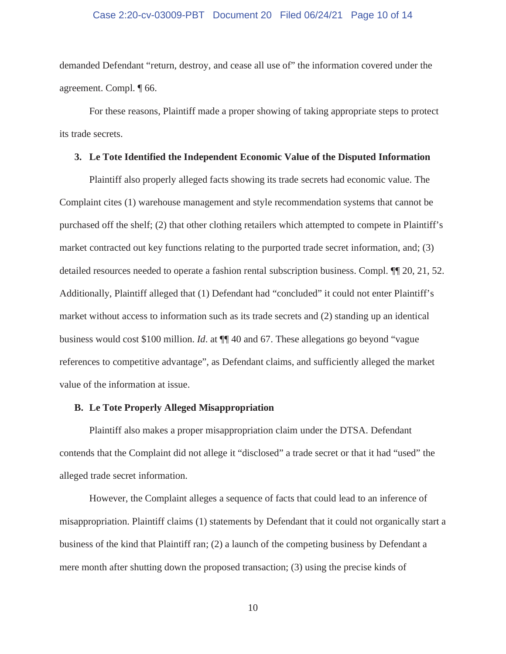#### Case 2:20-cv-03009-PBT Document 20 Filed 06/24/21 Page 10 of 14

demanded Defendant "return, destroy, and cease all use of" the information covered under the agreement. Compl. ¶ 66.

For these reasons, Plaintiff made a proper showing of taking appropriate steps to protect its trade secrets.

#### **3. Le Tote Identified the Independent Economic Value of the Disputed Information**

Plaintiff also properly alleged facts showing its trade secrets had economic value. The Complaint cites (1) warehouse management and style recommendation systems that cannot be purchased off the shelf; (2) that other clothing retailers which attempted to compete in Plaintiff's market contracted out key functions relating to the purported trade secret information, and; (3) detailed resources needed to operate a fashion rental subscription business. Compl. ¶¶ 20, 21, 52. Additionally, Plaintiff alleged that (1) Defendant had "concluded" it could not enter Plaintiff's market without access to information such as its trade secrets and (2) standing up an identical business would cost \$100 million. *Id*. at ¶¶ 40 and 67. These allegations go beyond "vague references to competitive advantage", as Defendant claims, and sufficiently alleged the market value of the information at issue.

#### **B. Le Tote Properly Alleged Misappropriation**

Plaintiff also makes a proper misappropriation claim under the DTSA. Defendant contends that the Complaint did not allege it "disclosed" a trade secret or that it had "used" the alleged trade secret information.

However, the Complaint alleges a sequence of facts that could lead to an inference of misappropriation. Plaintiff claims (1) statements by Defendant that it could not organically start a business of the kind that Plaintiff ran; (2) a launch of the competing business by Defendant a mere month after shutting down the proposed transaction; (3) using the precise kinds of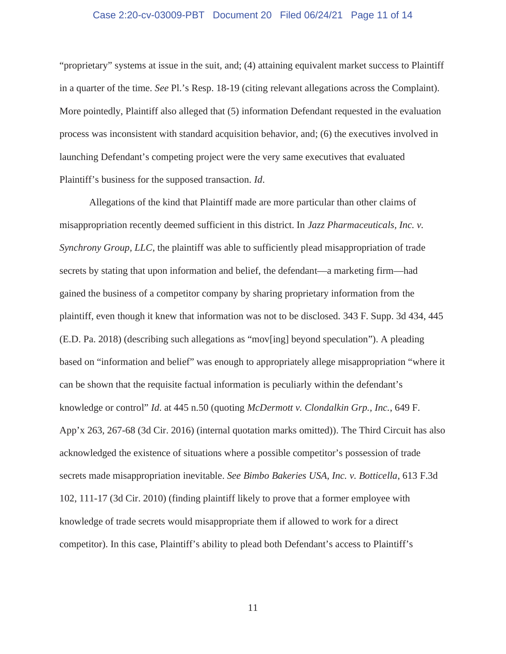#### Case 2:20-cv-03009-PBT Document 20 Filed 06/24/21 Page 11 of 14

"proprietary" systems at issue in the suit, and; (4) attaining equivalent market success to Plaintiff in a quarter of the time. *See* Pl.'s Resp. 18-19 (citing relevant allegations across the Complaint). More pointedly, Plaintiff also alleged that (5) information Defendant requested in the evaluation process was inconsistent with standard acquisition behavior, and; (6) the executives involved in launching Defendant's competing project were the very same executives that evaluated Plaintiff's business for the supposed transaction. *Id*.

Allegations of the kind that Plaintiff made are more particular than other claims of misappropriation recently deemed sufficient in this district. In *Jazz Pharmaceuticals, Inc. v. Synchrony Group, LLC*, the plaintiff was able to sufficiently plead misappropriation of trade secrets by stating that upon information and belief, the defendant—a marketing firm—had gained the business of a competitor company by sharing proprietary information from the plaintiff, even though it knew that information was not to be disclosed. 343 F. Supp. 3d 434, 445 (E.D. Pa. 2018) (describing such allegations as "mov[ing] beyond speculation"). A pleading based on "information and belief" was enough to appropriately allege misappropriation "where it can be shown that the requisite factual information is peculiarly within the defendant's knowledge or control" *Id*. at 445 n.50 (quoting *McDermott v. Clondalkin Grp., Inc.*, 649 F. App'x 263, 267-68 (3d Cir. 2016) (internal quotation marks omitted)). The Third Circuit has also acknowledged the existence of situations where a possible competitor's possession of trade secrets made misappropriation inevitable. *See Bimbo Bakeries USA, Inc. v. Botticella*, 613 F.3d 102, 111-17 (3d Cir. 2010) (finding plaintiff likely to prove that a former employee with knowledge of trade secrets would misappropriate them if allowed to work for a direct competitor). In this case, Plaintiff's ability to plead both Defendant's access to Plaintiff's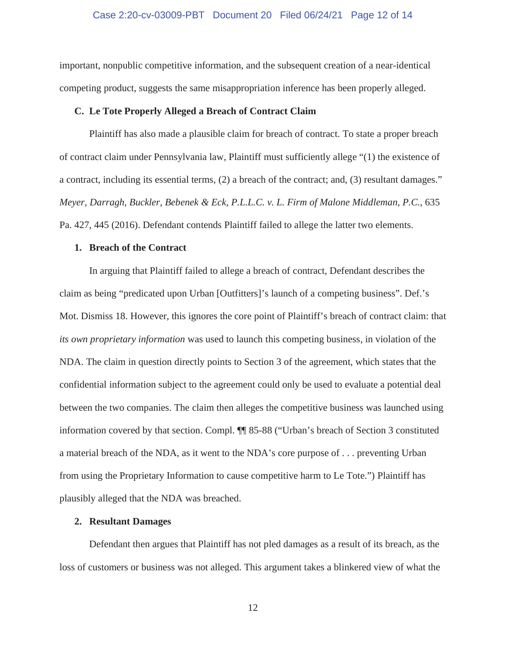#### Case 2:20-cv-03009-PBT Document 20 Filed 06/24/21 Page 12 of 14

important, nonpublic competitive information, and the subsequent creation of a near-identical competing product, suggests the same misappropriation inference has been properly alleged.

#### **C. Le Tote Properly Alleged a Breach of Contract Claim**

Plaintiff has also made a plausible claim for breach of contract. To state a proper breach of contract claim under Pennsylvania law, Plaintiff must sufficiently allege "(1) the existence of a contract, including its essential terms, (2) a breach of the contract; and, (3) resultant damages." *Meyer, Darragh, Buckler, Bebenek & Eck, P.L.L.C. v. L. Firm of Malone Middleman, P.C.*, 635 Pa. 427, 445 (2016). Defendant contends Plaintiff failed to allege the latter two elements.

#### **1. Breach of the Contract**

In arguing that Plaintiff failed to allege a breach of contract, Defendant describes the claim as being "predicated upon Urban [Outfitters]'s launch of a competing business". Def.'s Mot. Dismiss 18. However, this ignores the core point of Plaintiff's breach of contract claim: that *its own proprietary information* was used to launch this competing business, in violation of the NDA. The claim in question directly points to Section 3 of the agreement, which states that the confidential information subject to the agreement could only be used to evaluate a potential deal between the two companies. The claim then alleges the competitive business was launched using information covered by that section. Compl. ¶¶ 85-88 ("Urban's breach of Section 3 constituted a material breach of the NDA, as it went to the NDA's core purpose of . . . preventing Urban from using the Proprietary Information to cause competitive harm to Le Tote.") Plaintiff has plausibly alleged that the NDA was breached.

#### **2. Resultant Damages**

Defendant then argues that Plaintiff has not pled damages as a result of its breach, as the loss of customers or business was not alleged. This argument takes a blinkered view of what the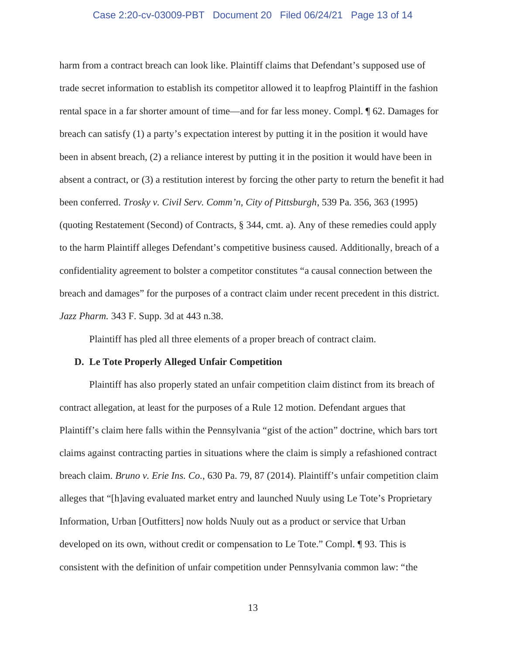#### Case 2:20-cv-03009-PBT Document 20 Filed 06/24/21 Page 13 of 14

harm from a contract breach can look like. Plaintiff claims that Defendant's supposed use of trade secret information to establish its competitor allowed it to leapfrog Plaintiff in the fashion rental space in a far shorter amount of time—and for far less money. Compl. ¶ 62. Damages for breach can satisfy (1) a party's expectation interest by putting it in the position it would have been in absent breach, (2) a reliance interest by putting it in the position it would have been in absent a contract, or (3) a restitution interest by forcing the other party to return the benefit it had been conferred. *Trosky v. Civil Serv. Comm'n, City of Pittsburgh*, 539 Pa. 356, 363 (1995) (quoting Restatement (Second) of Contracts, § 344, cmt. a). Any of these remedies could apply to the harm Plaintiff alleges Defendant's competitive business caused. Additionally, breach of a confidentiality agreement to bolster a competitor constitutes "a causal connection between the breach and damages" for the purposes of a contract claim under recent precedent in this district. *Jazz Pharm.* 343 F. Supp. 3d at 443 n.38.

Plaintiff has pled all three elements of a proper breach of contract claim.

#### **D. Le Tote Properly Alleged Unfair Competition**

Plaintiff has also properly stated an unfair competition claim distinct from its breach of contract allegation, at least for the purposes of a Rule 12 motion. Defendant argues that Plaintiff's claim here falls within the Pennsylvania "gist of the action" doctrine, which bars tort claims against contracting parties in situations where the claim is simply a refashioned contract breach claim. *Bruno v. Erie Ins. Co.*, 630 Pa. 79, 87 (2014). Plaintiff's unfair competition claim alleges that "[h]aving evaluated market entry and launched Nuuly using Le Tote's Proprietary Information, Urban [Outfitters] now holds Nuuly out as a product or service that Urban developed on its own, without credit or compensation to Le Tote." Compl. ¶ 93. This is consistent with the definition of unfair competition under Pennsylvania common law: "the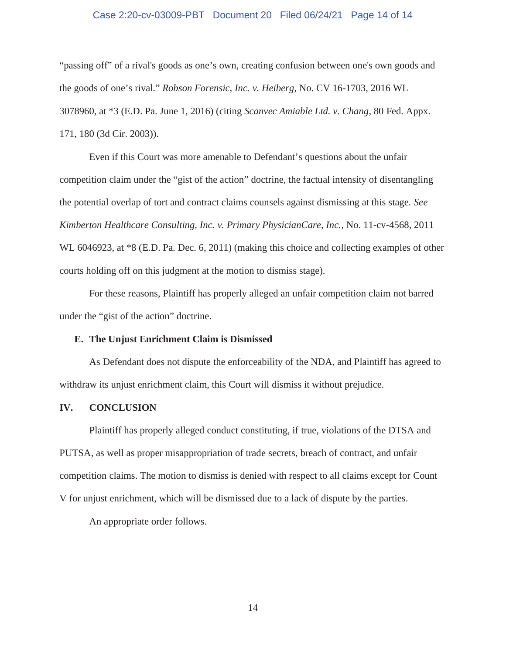#### Case 2:20-cv-03009-PBT Document 20 Filed 06/24/21 Page 14 of 14

"passing off" of a rival's goods as one's own, creating confusion between one's own goods and the goods of one's rival." *Robson Forensic, Inc. v. Heiberg*, No. CV 16-1703, 2016 WL 3078960, at \*3 (E.D. Pa. June 1, 2016) (citing *Scanvec Amiable Ltd. v. Chang*, 80 Fed. Appx. 171, 180 (3d Cir. 2003)).

Even if this Court was more amenable to Defendant's questions about the unfair competition claim under the "gist of the action" doctrine, the factual intensity of disentangling the potential overlap of tort and contract claims counsels against dismissing at this stage. *See Kimberton Healthcare Consulting, Inc. v. Primary PhysicianCare, Inc.*, No. 11-cv-4568, 2011 WL 6046923, at  $*8$  (E.D. Pa. Dec. 6, 2011) (making this choice and collecting examples of other courts holding off on this judgment at the motion to dismiss stage).

For these reasons, Plaintiff has properly alleged an unfair competition claim not barred under the "gist of the action" doctrine.

#### **E. The Unjust Enrichment Claim is Dismissed**

As Defendant does not dispute the enforceability of the NDA, and Plaintiff has agreed to withdraw its unjust enrichment claim, this Court will dismiss it without prejudice.

#### **IV. CONCLUSION**

Plaintiff has properly alleged conduct constituting, if true, violations of the DTSA and PUTSA, as well as proper misappropriation of trade secrets, breach of contract, and unfair competition claims. The motion to dismiss is denied with respect to all claims except for Count V for unjust enrichment, which will be dismissed due to a lack of dispute by the parties.

An appropriate order follows.